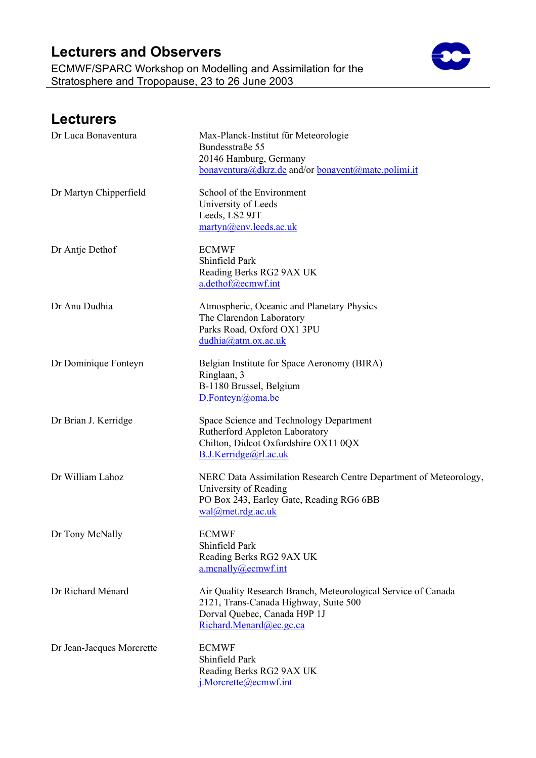ECMWF/SPARC Workshop on Modelling and Assimilation for the Stratosphere and Tropopause, 23 to 26 June 2003



#### **Lecturers**  Dr Luca Bonaventura Max-Planck-Institut für Meteorologie Bundesstraße 55 20146 Hamburg, Germany [bonaventura@dkrz.de](mailto:bonaventura@dkrz.de) and/or bonavent@mate.polimi.it Dr Martyn Chipperfield School of the Environment University of Leeds Leeds, LS2 9JT [martyn@env.leeds.ac.uk](mailto:martyn@env.leeds.ac.uk)  Dr Antje Dethof ECMWF Shinfield Park Reading Berks RG2 9AX UK [a.dethof@ecmwf.int](mailto:a.dethof@ecmwf.int) Dr Anu Dudhia Atmospheric, Oceanic and Planetary Physics The Clarendon Laboratory Parks Road, Oxford OX1 3PU [dudhia@atm.ox.ac.uk](mailto:dudhia@atm.ox.ac.uk)  Dr Dominique Fonteyn Belgian Institute for Space Aeronomy (BIRA) Ringlaan, 3 B-1180 Brussel, Belgium D.Fonteyn@oma.be Dr Brian J. Kerridge Space Science and Technology Department Rutherford Appleton Laboratory Chilton, Didcot Oxfordshire OX11 0QX [B.J.Kerridge@rl.ac.uk](mailto:B.J.Kerridge@rl.ac.uk) Dr William Lahoz NERC Data Assimilation Research Centre Department of Meteorology, University of Reading PO Box 243, Earley Gate, Reading RG6 6BB [wal@met.rdg.ac.uk](mailto:wal@met.rdg.ac.uk) Dr Tony McNally ECMWF Shinfield Park Reading Berks RG2 9AX UK [a.mcnally@ecmwf.int](mailto:a.mcnally@ecmwf.int)

Dr Richard Ménard Air Quality Research Branch, Meteorological Service of Canada 2121, Trans-Canada Highway, Suite 500 Dorval Quebec, Canada H9P 1J [Richard.Menard@ec.gc.ca](mailto:Richard.Menard@ec.gc.ca)

Dr Jean-Jacques Morcrette ECMWF Shinfield Park Reading Berks RG2 9AX UK [j.Morcrette@ecmwf.int](mailto:j.Morcrette@ecmwf.int)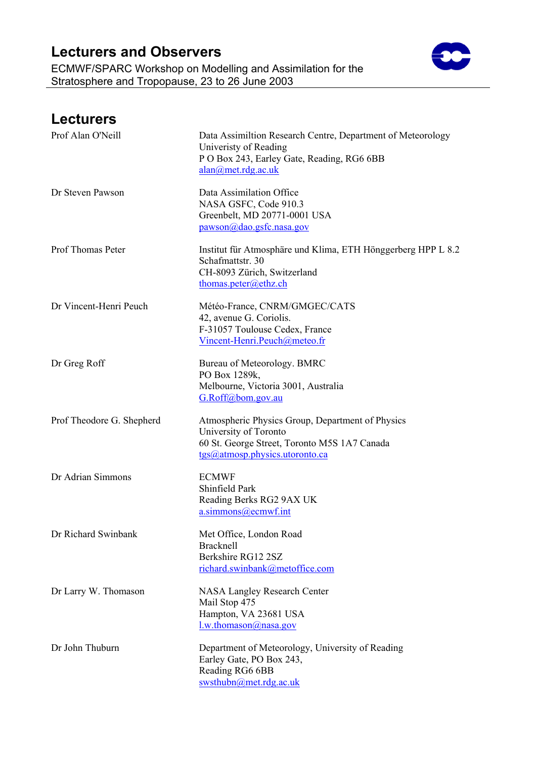ECMWF/SPARC Workshop on Modelling and Assimilation for the Stratosphere and Tropopause, 23 to 26 June 2003



| <b>Lecturers</b>          |                                                                                                                                                             |
|---------------------------|-------------------------------------------------------------------------------------------------------------------------------------------------------------|
| Prof Alan O'Neill         | Data Assimiltion Research Centre, Department of Meteorology<br>Univeristy of Reading<br>P O Box 243, Earley Gate, Reading, RG6 6BB<br>alam@met.rdg.ac.uk    |
| Dr Steven Pawson          | Data Assimilation Office<br>NASA GSFC, Code 910.3<br>Greenbelt, MD 20771-0001 USA<br>pawson@dao.gsfc.nasa.gov                                               |
| Prof Thomas Peter         | Institut für Atmosphäre und Klima, ETH Hönggerberg HPP L 8.2<br>Schafmattstr. 30<br>CH-8093 Zürich, Switzerland<br>thomas.peter@ethz.ch                     |
| Dr Vincent-Henri Peuch    | Météo-France, CNRM/GMGEC/CATS<br>42, avenue G. Coriolis.<br>F-31057 Toulouse Cedex, France<br>Vincent-Henri.Peuch@meteo.fr                                  |
| Dr Greg Roff              | Bureau of Meteorology. BMRC<br>PO Box 1289k,<br>Melbourne, Victoria 3001, Australia<br>G.Roff@bom.gov.au                                                    |
| Prof Theodore G. Shepherd | Atmospheric Physics Group, Department of Physics<br>University of Toronto<br>60 St. George Street, Toronto M5S 1A7 Canada<br>tgs@atmosp.physics.utoronto.ca |
| Dr Adrian Simmons         | <b>ECMWF</b><br>Shinfield Park<br>Reading Berks RG2 9AX UK<br>a.simmons@ecmwf.int                                                                           |
| Dr Richard Swinbank       | Met Office, London Road<br><b>Bracknell</b><br>Berkshire RG12 2SZ<br>richard.swinbank@metoffice.com                                                         |
| Dr Larry W. Thomason      | <b>NASA Langley Research Center</b><br>Mail Stop 475<br>Hampton, VA 23681 USA<br>$l.w.$ thomason@nasa.gov                                                   |
| Dr John Thuburn           | Department of Meteorology, University of Reading<br>Earley Gate, PO Box 243,<br>Reading RG6 6BB<br>swsthubn@met.rdg.ac.uk                                   |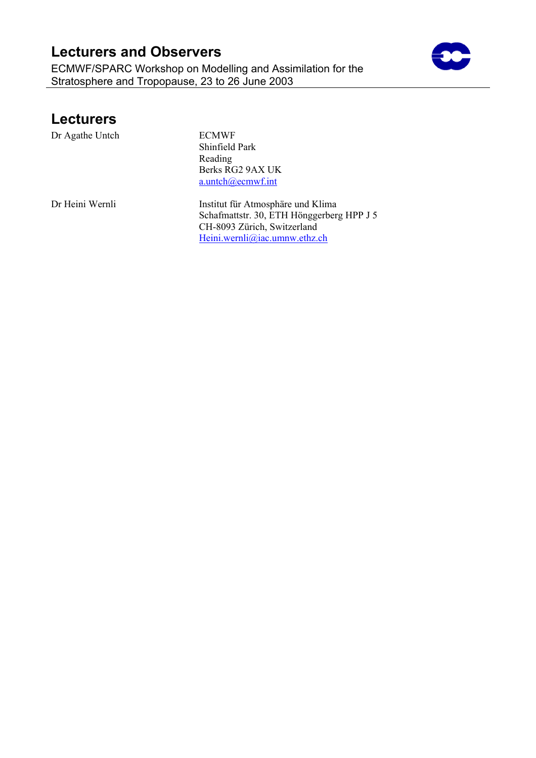ECMWF/SPARC Workshop on Modelling and Assimilation for the Stratosphere and Tropopause, 23 to 26 June 2003



#### **Lecturers**

Dr Agathe Untch ECMWF

Shinfield Park Reading Berks RG2 9AX UK [a.untch@ecmwf.int](mailto:a.untch@ecmwf.int)

Dr Heini Wernli **Institut für Atmosphäre und Klima** Schafmattstr. 30, ETH Hönggerberg HPP J 5 CH-8093 Zürich, Switzerland [Heini.wernli@iac.umnw.ethz.ch](mailto:Heini.wernli@iac.umnw.ethz.ch)